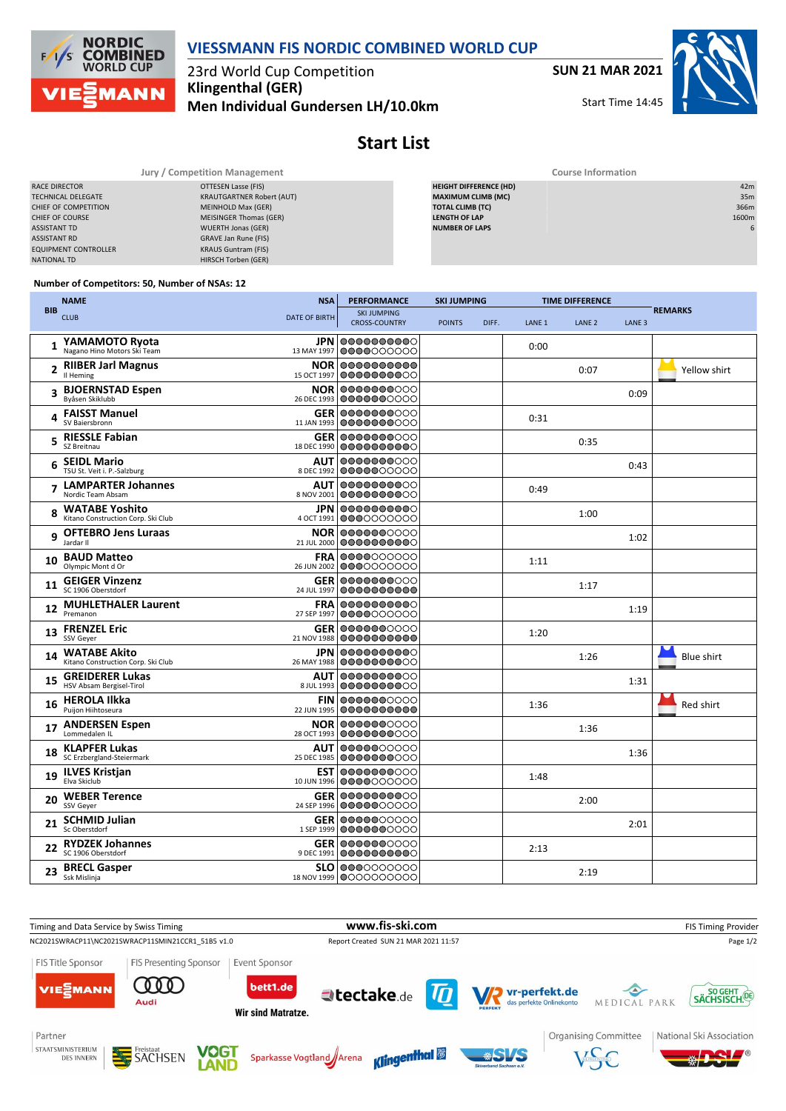

## **VIESSMANN FIS NORDIC COMBINED WORLD CUP**

23rd World Cup Competition **Klingenthal (GER) Men Individual Gundersen LH/10.0km** **SUN 21 MAR 2021**

Start Time 14:45



# **Start List**

|                             | Jury / Competition Management    | <b>Course Information</b>     |       |  |  |  |  |
|-----------------------------|----------------------------------|-------------------------------|-------|--|--|--|--|
| RACE DIRECTOR               | OTTESEN Lasse (FIS)              | <b>HEIGHT DIFFERENCE (HD)</b> | 42m   |  |  |  |  |
| <b>TECHNICAL DELEGATE</b>   | <b>KRAUTGARTNER Robert (AUT)</b> | <b>MAXIMUM CLIMB (MC)</b>     | 35m   |  |  |  |  |
| CHIEF OF COMPETITION        | MEINHOLD Max (GER)               | TOTAL CLIMB (TC)              | 366m  |  |  |  |  |
| <b>CHIEF OF COURSE</b>      | MEISINGER Thomas (GER)           | <b>LENGTH OF LAP</b>          | 1600m |  |  |  |  |
| <b>ASSISTANT TD</b>         | WUERTH Jonas (GER)               | <b>NUMBER OF LAPS</b>         |       |  |  |  |  |
| <b>ASSISTANT RD</b>         | GRAVE Jan Rune (FIS)             |                               |       |  |  |  |  |
| <b>EQUIPMENT CONTROLLER</b> | <b>KRAUS Guntram (FIS)</b>       |                               |       |  |  |  |  |
| NATIONAL TD                 | HIRSCH Torben (GER)              |                               |       |  |  |  |  |

#### **Number of Competitors: 50, Number of NSAs: 12**

|            | <b>NAME</b>                                                 | <b>PERFORMANCE</b><br><b>NSA</b> |                                                   | <b>SKI JUMPING</b> |       | <b>TIME DIFFERENCE</b> |                   |                   |                   |
|------------|-------------------------------------------------------------|----------------------------------|---------------------------------------------------|--------------------|-------|------------------------|-------------------|-------------------|-------------------|
| <b>BIB</b> | <b>CLUB</b>                                                 | <b>DATE OF BIRTH</b>             | <b>SKI JUMPING</b><br><b>CROSS-COUNTRY</b>        | <b>POINTS</b>      | DIFF. | LANE <sub>1</sub>      | LANE <sub>2</sub> | LANE <sub>3</sub> | <b>REMARKS</b>    |
| 1          | YAMAMOTO Ryota<br>Nagano Hino Motors Ski Team               |                                  | <b>JPN 0000000000</b><br>13 MAY 1997 0000000000   |                    |       | 0:00                   |                   |                   |                   |
| 2          | <b>RIIBER Jarl Magnus</b><br>Il Heming                      | <b>NOR</b><br>15 OCT 1997        | 0000000000<br>0000000000                          |                    |       |                        | 0:07              |                   | Yellow shirt      |
|            | 3 BJOERNSTAD Espen<br>Byåsen Skiklubb                       | 26 DEC 1993                      | <b>NOR 0000000000</b><br>0000000000               |                    |       |                        |                   | 0:09              |                   |
| 4          | <b>FAISST Manuel</b><br>SV Baiersbronn                      |                                  | <b>GER 0000000000</b><br>11 JAN 1993 0000000000   |                    |       | 0:31                   |                   |                   |                   |
|            | 5 RIESSLE Fabian<br>SZ Breitnau                             | 18 DEC 1990                      | <b>GER 0000000000</b><br>0000000000               |                    |       |                        | 0:35              |                   |                   |
| 6          | <b>SEIDL Mario</b><br>TSU St. Veit i. P.-Salzburg           | <b>AUT</b>                       | 0000000000<br>8 DEC 1992 0000000000               |                    |       |                        |                   | 0:43              |                   |
| 7          | <b>LAMPARTER Johannes</b><br>Nordic Team Absam              | <b>AUT</b><br>8 NOV 2001         | 0000000000<br>0000000000                          |                    |       | 0:49                   |                   |                   |                   |
| 8          | <b>WATABE Yoshito</b><br>Kitano Construction Corp. Ski Club |                                  | <b>JPN 0000000000</b><br>4 OCT 1991 0000000000    |                    |       |                        | 1:00              |                   |                   |
| 9          | <b>OFTEBRO Jens Luraas</b><br>Jardar II                     | 21 JUL 2000                      | <b>NOR 0000000000</b><br>0000000000               |                    |       |                        |                   | 1:02              |                   |
| 10         | <b>BAUD Matteo</b><br>Olympic Mont d Or                     |                                  | <b>FRA 0000000000</b><br>26 JUN 2002 0000000000   |                    |       | 1:11                   |                   |                   |                   |
| 11         | <b>GEIGER Vinzenz</b><br>SC 1906 Oberstdorf                 | 24 JUL 1997                      | <b>GER 0000000000</b><br>10000000000              |                    |       |                        | 1:17              |                   |                   |
| 12         | <b>MUHLETHALER Laurent</b><br>Premanon                      |                                  | <b>FRA 000000000</b><br>27 SEP 1997 0000000000    |                    |       |                        |                   | 1:19              |                   |
| 13         | <b>FRENZEL Eric</b><br>SSV Geyer                            | 21 NOV 1988                      | <b>GER 0000000000</b><br>0000000000               |                    |       | 1:20                   |                   |                   |                   |
| 14         | <b>WATABE Akito</b><br>Kitano Construction Corp. Ski Club   | 26 MAY 1988                      | <b>JPN 0000000000</b><br>0000000000               |                    |       |                        | 1:26              |                   | <b>Blue shirt</b> |
| 15         | <b>GREIDERER Lukas</b><br>HSV Absam Bergisel-Tirol          | <b>AUT</b><br>8 JUL 1993         | 0000000000<br>0000000000                          |                    |       |                        |                   | 1:31              |                   |
| 16         | <b>HEROLA Ilkka</b><br>Puijon Hiihtoseura                   |                                  | <b>FIN 000000</b> 0000<br>22 JUN 1995 0000000000  |                    |       | 1:36                   |                   |                   | Red shirt         |
| 17         | <b>ANDERSEN Espen</b><br>Lommedalen IL                      |                                  | <b>NOR 0000000000</b><br>28 OCT 1993 0000000000   |                    |       |                        | 1:36              |                   |                   |
| 18         | <b>KLAPFER Lukas</b><br>SC Erzbergland-Steiermark           |                                  | <b>AUT 0000000000</b><br>25 DEC 1985   0000000000 |                    |       |                        |                   | 1:36              |                   |
| 19         | <b>ILVES Kristjan</b><br>Elva Skiclub                       |                                  | <b>EST 0000000000</b><br>10 JUN 1996 0000000000   |                    |       | 1:48                   |                   |                   |                   |
| 20         | <b>WEBER Terence</b><br>SSV Geyer                           |                                  | <b>GER 0000000000</b><br>24 SEP 1996 0000000000   |                    |       |                        | 2:00              |                   |                   |
| 21         | <b>SCHMID Julian</b><br>Sc Oberstdorf                       |                                  | <b>GER 000000</b> 0000<br>1 SEP 1999 0000000000   |                    |       |                        |                   | 2:01              |                   |
|            | <b>RYDZEK Johannes</b><br>SC 1906 Oberstdorf                |                                  | <b>GER 0000000000</b><br>9 DEC 1991 0000000000    |                    |       | 2:13                   |                   |                   |                   |
|            | <b>BRECL Gasper</b><br>Ssk Mislinja                         |                                  | <b>SLO 0000000000</b><br>18 NOV 1999 0000000000   |                    |       |                        | 2:19              |                   |                   |